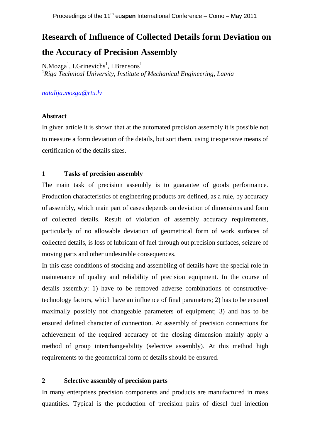# **Research of Influence of Collected Details form Deviation on the Accuracy of Precision Assembly**

N.Mozga<sup>1</sup>, I.Grinevichs<sup>1</sup>, I.Brensons<sup>1</sup> <sup>1</sup>*Riga Technical University, Institute of Mechanical Engineering, Latvia*

*natalija.mozga@rtu.lv*

## **Abstract**

In given article it is shown that at the automated precision assembly it is possible not to measure a form deviation of the details, but sort them, using inexpensive means of certification of the details sizes.

## **1 Tasks of precision assembly**

The main task of precision assembly is to guarantee of goods performance. Production characteristics of engineering products are defined, as a rule, by accuracy of assembly, which main part of cases depends on deviation of dimensions and form of collected details. Result of violation of assembly accuracy requirements, particularly of no allowable deviation of geometrical form of work surfaces of collected details, is loss of lubricant of fuel through out precision surfaces, seizure of moving parts and other undesirable consequences.

In this case conditions of stocking and assembling of details have the special role in maintenance of quality and reliability of precision equipment. In the course of details assembly: 1) have to be removed adverse combinations of constructivetechnology factors, which have an influence of final parameters; 2) has to be ensured maximally possibly not changeable parameters of equipment; 3) and has to be ensured defined character of connection. At assembly of precision connections for achievement of the required accuracy of the closing dimension mainly apply a method of group interchangeability (selective assembly). At this method high requirements to the geometrical form of details should be ensured.

## **2 Selective assembly of precision parts**

In many enterprises precision components and products are manufactured in mass quantities. Typical is the production of precision pairs of diesel fuel injection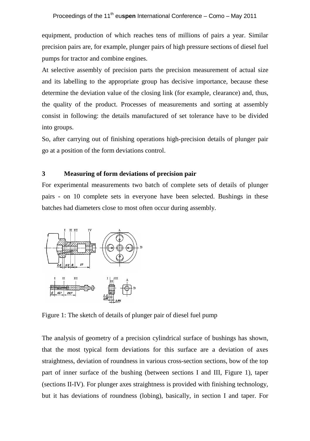equipment, production of which reaches tens of millions of pairs a year. Similar precision pairs are, for example, plunger pairs of high pressure sections of diesel fuel pumps for tractor and combine engines.

At selective assembly of precision parts the precision measurement of actual size and its labelling to the appropriate group has decisive importance, because these determine the deviation value of the closing link (for example, clearance) and, thus, the quality of the product. Processes of measurements and sorting at assembly consist in following: the details manufactured of set tolerance have to be divided into groups.

So, after carrying out of finishing operations high-precision details of plunger pair go at a position of the form deviations control.

### **3 Measuring of form deviations of precision pair**

For experimental measurements two batch of complete sets of details of plunger pairs - on 10 complete sets in everyone have been selected. Bushings in these batches had diameters close to most often occur during assembly.



Figure 1: The sketch of details of plunger pair of diesel fuel pump

The analysis of geometry of a precision cylindrical surface of bushings has shown, that the most typical form deviations for this surface are a deviation of axes straightness, deviation of roundness in various cross-section sections, bow of the top part of inner surface of the bushing (between sections I and III, Figure 1), taper (sections II-IV). For plunger axes straightness is provided with finishing technology, but it has deviations of roundness (lobing), basically, in section I and taper. For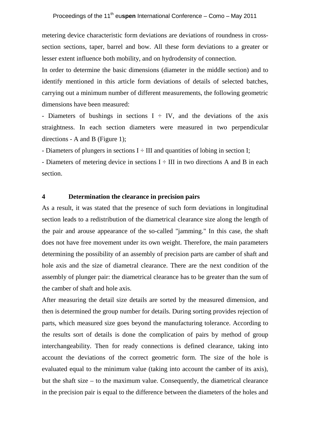metering device characteristic form deviations are deviations of roundness in crosssection sections, taper, barrel and bow. All these form deviations to a greater or lesser extent influence both mobility, and on hydrodensity of connection.

In order to determine the basic dimensions (diameter in the middle section) and to identify mentioned in this article form deviations of details of selected batches, carrying out a minimum number of different measurements, the following geometric dimensions have been measured:

- Diameters of bushings in sections  $I \div IV$ , and the deviations of the axis straightness. In each section diameters were measured in two perpendicular directions - A and B (Figure 1);

- Diameters of plungers in sections  $I \div III$  and quantities of lobing in section I;

- Diameters of metering device in sections  $I \div III$  in two directions A and B in each section.

## **4 Determination the clearance in precision pairs**

As a result, it was stated that the presence of such form deviations in longitudinal section leads to a redistribution of the diametrical clearance size along the length of the pair and arouse appearance of the so-called "jamming." In this case, the shaft does not have free movement under its own weight. Therefore, the main parameters determining the possibility of an assembly of precision parts are camber of shaft and hole axis and the size of diametral clearance. There are the next condition of the assembly of plunger pair: the diametrical clearance has to be greater than the sum of the camber of shaft and hole axis.

After measuring the detail size details are sorted by the measured dimension, and then is determined the group number for details. During sorting provides rejection of parts, which measured size goes beyond the manufacturing tolerance. According to the results sort of details is done the complication of pairs by method of group interchangeability. Then for ready connections is defined clearance, taking into account the deviations of the correct geometric form. The size of the hole is evaluated equal to the minimum value (taking into account the camber of its axis), but the shaft size – to the maximum value. Consequently, the diametrical clearance in the precision pair is equal to the difference between the diameters of the holes and